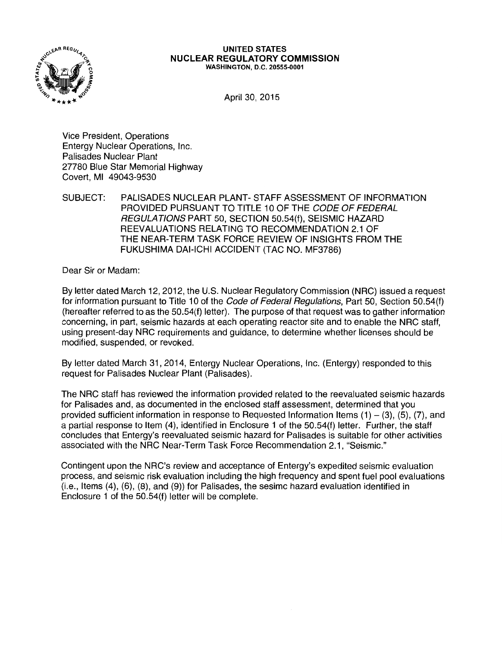

#### UNITED STATES NUCLEAR REGULATORY COMMISSION WASHINGTON, D.C. 20555-0001

April 30, 2015

Vice President, Operations Entergy Nuclear Operations, Inc. Palisades Nuclear Plant 27780 Blue Star Memorial Highway Covert, Ml 49043-9530

SUBJECT: PALISADES NUCLEAR PLANT- STAFF ASSESSMENT OF INFORMATION PROVIDED PURSUANT TO TITLE 10 OF THE CODE OF FEDERAL REGULATIONS PART 50, SECTION 50.54(f), SEISMIC HAZARD REEVALUATIONS RELATING TO RECOMMENDATION 2.1 OF THE NEAR-TERM TASK FORCE REVIEW OF INSIGHTS FROM THE FUKUSHIMA DAl-ICHI ACCIDENT (TAC NO. MF3786)

Dear Sir or Madam:

By letter dated March 12, 2012, the U.S. Nuclear Regulatory Commission (NRC) issued a request for information pursuant to Title 10 of the Code of Federal Regulations, Part 50, Section 50.54(f) (hereafter referred to as the 50.54(f) letter). The purpose of that request was to gather information concerning, in part, seismic hazards at each operating reactor site and to enable the NRC staff, using present-day NRC requirements and guidance, to determine whether licenses should be modified, suspended, or revoked.

By letter dated March 31, 2014, Entergy Nuclear Operations, Inc. (Entergy) responded to this request for Palisades Nuclear Plant (Palisades).

The NRC staff has reviewed the information provided related to the reevaluated seismic hazards for Palisades and, as documented in the enclosed staff assessment, determined that you provided sufficient information in response to Requested Information Items  $(1) - (3)$ ,  $(5)$ ,  $(7)$ , and a partial response to Item (4), identified in Enclosure 1 of the 50.54(f) letter. Further, the staff concludes that Entergy's reevaluated seismic hazard for Palisades is suitable for other activities associated with the NRC Near-Term Task Force Recommendation 2.1, "Seismic."

Contingent upon the NRC's review and acceptance of Entergy's expedited seismic evaluation process, and seismic risk evaluation including the high frequency and spent fuel pool evaluations (i.e., Items (4), (6), (8), and (9)) for Palisades, the sesimc hazard evaluation identified in Enclosure 1 of the 50.54(f) letter will be complete.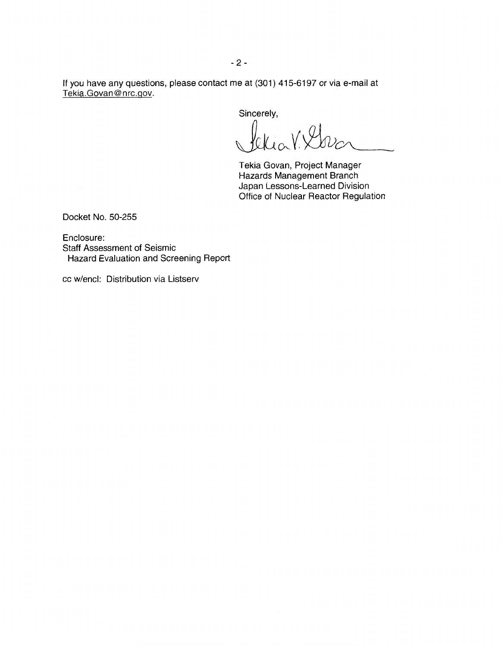If you have any questions, please contact me at (301) 415-6197 or via e-mail at Tekia.Govan@nrc.gov.

Sincerely,

 $V_0 V = V_1 Q$ 

Tekia Govan, Project Manager Hazards Management Branch Japan Lessons-Learned Division Office of Nuclear Reactor Regulation

Docket No. 50-255

Enclosure: Staff Assessment of Seismic Hazard Evaluation and Screening Report

cc w/encl: Distribution via Listserv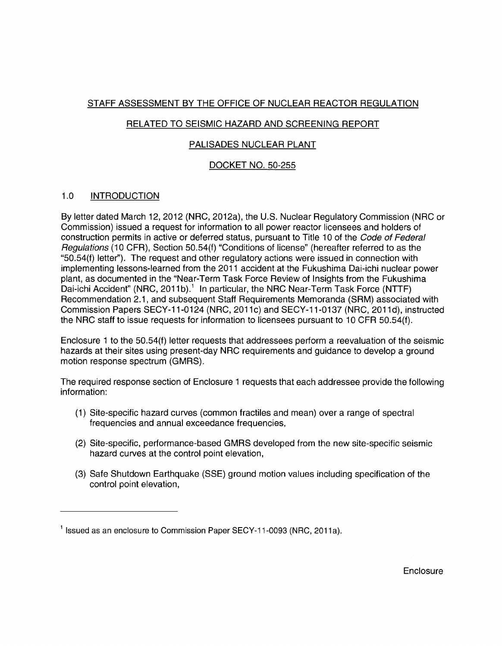# STAFF ASSESSMENT BY THE OFFICE OF NUCLEAR REACTOR REGULATION

## RELATED TO SEISMIC HAZARD AND SCREENING REPORT

## PALISADES NUCLEAR PLANT

## DOCKET NO. 50-255

## 1.0 INTRODUCTION

By letter dated March 12, 2012 (NRG, 2012a), the U.S. Nuclear Regulatory Commission (NRG or Commission) issued a request for information to all power reactor licensees and holders of construction permits in active or deferred status, pursuant to Title 10 of the Code of Federal Regulations (10 CFR), Section 50.54(f) "Conditions of license" (hereafter referred to as the "50.54(f) letter''). The request and other regulatory actions were issued in connection with implementing lessons-learned from the 2011 accident at the Fukushima Dai-ichi nuclear power plant, as documented in the "Near-Term Task Force Review of Insights from the Fukushima Dai-ichi Accident" (NRC, 2011b).<sup>1</sup> In particular, the NRC Near-Term Task Force (NTTF) Recommendation 2.1, and subsequent Staff Requirements Memoranda (SRM) associated with Commission Papers SECY-11-0124 (NRG, 2011c) and SECY-11-0137 (NRG, 2011d), instructed the NRC staff to issue requests for information to licensees pursuant to 10 CFR 50.54(f).

Enclosure 1 to the 50.54(f) letter requests that addressees perform a reevaluation of the seismic hazards at their sites using present-day NRG requirements and guidance to develop a ground motion response spectrum (GMRS).

The required response section of Enclosure 1 requests that each addressee provide the following information:

- (1) Site-specific hazard curves (common fractiles and mean) over a range of spectral frequencies and annual exceedance frequencies,
- (2) Site-specific, performance-based GMRS developed from the new site-specific seismic hazard curves at the control point elevation,
- (3) Safe Shutdown Earthquake (SSE) ground motion values including specification of the control point elevation,

 $<sup>1</sup>$  Issued as an enclosure to Commission Paper SECY-11-0093 (NRC, 2011a).</sup>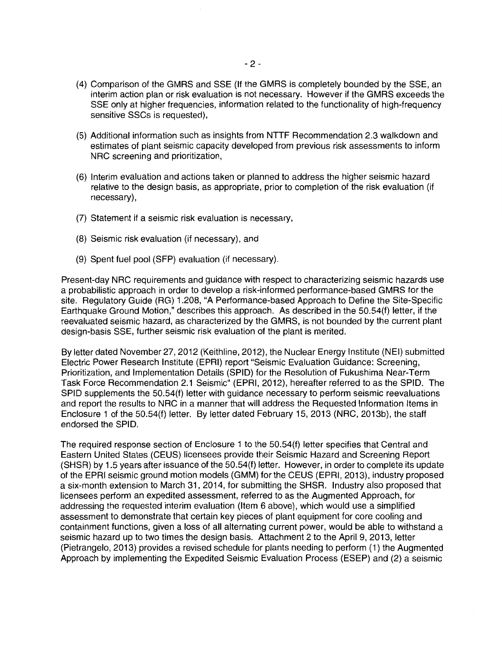- (4) Comparison of the GMRS and SSE (If the GMRS is completely bounded by the SSE, an interim action plan or risk evaluation is not necessary. However if the GMRS exceeds the SSE only at higher frequencies, information related to the functionality of high-frequency sensitive SSCs is requested),
- (5) Additional information such as insights from NTTF Recommendation 2.3 walkdown and estimates of plant seismic capacity developed from previous risk assessments to inform NRC screening and prioritization,
- (6) Interim evaluation and actions taken or planned to address the higher seismic hazard relative to the design basis, as appropriate, prior to completion of the risk evaluation (if necessary),
- (7) Statement if a seismic risk evaluation is necessary,
- (8) Seismic risk evaluation (if necessary), and
- (9) Spent fuel pool (SFP) evaluation (if necessary).

Present-day NRC requirements and guidance with respect to characterizing seismic hazards use a probabilistic approach in order to develop a risk-informed performance-based GMRS for the site. Regulatory Guide (RG) 1.208, "A Performance-based Approach to Define the Site-Specific Earthquake Ground Motion," describes this approach. As described in the 50.54(f) letter, if the reevaluated seismic hazard, as characterized by the GMRS, is not bounded by the current plant design-basis SSE, further seismic risk evaluation of the plant is merited.

By letter dated November 27, 2012 (Keithline, 2012), the Nuclear Energy Institute (NEI} submitted Electric Power Research Institute (EPRI) report "Seismic Evaluation Guidance: Screening, Prioritization, and Implementation Details (SPID) for the Resolution of Fukushima Near-Term Task Force Recommendation 2.1 Seismic" (EPRI, 2012), hereafter referred to as the SPID. The SPID supplements the 50.54(f) letter with guidance necessary to perform seismic reevaluations and report the results to NRC in a manner that will address the Requested Information Items in Enclosure 1 of the 50.54(f) letter. By letter dated February 15, 2013 (NRC, 2013b), the staff endorsed the SPID.

The required response section of Enclosure 1 to the 50.54(f) letter specifies that Central and Eastern United States (CEUS) licensees provide their Seismic Hazard and Screening Report (SHSR) by 1.5 years after issuance of the 50.54(f) letter. However, in order to complete its update of the EPRI seismic ground motion models (GMM) for the CEUS (EPRI, 2013), industry proposed a six-month extension to March 31, 2014, for submitting the SHSR. Industry also proposed that licensees perform an expedited assessment, referred to as the Augmented Approach, for addressing the requested interim evaluation (Item 6 above), which would use a simplified assessment to demonstrate that certain key pieces of plant equipment for core cooling and containment functions, given a loss of all alternating current power, would be able to withstand a seismic hazard up to two times the design basis. Attachment 2 to the April 9, 2013, letter (Pietrangelo, 2013) provides a revised schedule for plants needing to perform (1) the Augmented Approach by implementing the Expedited Seismic Evaluation Process (ESEP) and (2) a seismic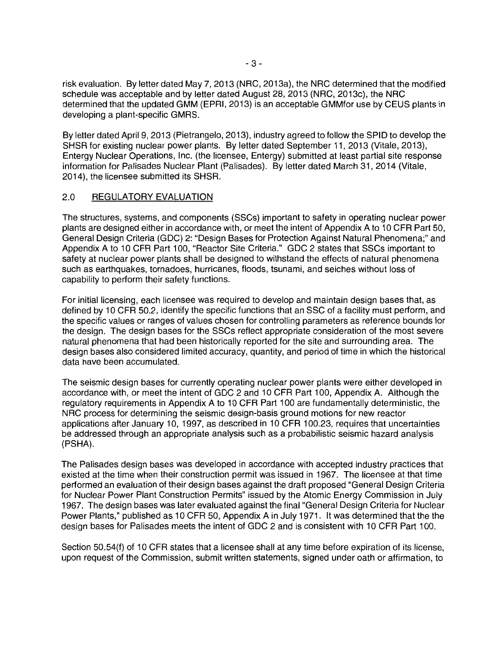risk evaluation. By letter dated May 7, 2013 (NRC, 2013a), the NRC determined that the modified schedule was acceptable and by letter dated August 28, 2013 (NRC, 2013c), the NRC determined that the updated GMM (EPRI, 2013) is an acceptable GMMfor use by CEUS plants in developing a plant-specific GMRS.

By letter dated April 9, 2013 (Pietrangelo, 2013), industry agreed to follow the SPID to develop the SHSR for existing nuclear power plants. By letter dated September 11, 2013 (Vitale, 2013), Entergy Nuclear Operations, Inc. (the licensee, Entergy) submitted at least partial site response information for Palisades Nuclear Plant (Palisades). By letter dated March 31, 2014 (Vitale, 2014), the licensee submitted its SHSR.

### 2.0 REGULATORY EVALUATION

The structures, systems, and components (SSCs) important to safety in operating nuclear power plants are designed either in accordance with, or meet the intent of Appendix A to 1 O CFR Part 50, General Design Criteria (GDC) 2: "Design Bases for Protection Against Natural Phenomena;" and Appendix A to 10 CFR Part 100, "Reactor Site Criteria." GDC 2 states that SSCs important to safety at nuclear power plants shall be designed to withstand the effects of natural phenomena such as earthquakes, tornadoes, hurricanes, floods, tsunami, and seiches without loss of capability to perform their safety functions.

For initial licensing, each licensee was required to develop and maintain design bases that, as defined by 10 CFR 50.2, identify the specific functions that an SSC of a facility must perform, and the specific values or ranges of values chosen for controlling parameters as reference bounds for the design. The design bases for the SSCs reflect appropriate consideration of the most severe natural phenomena that had been historically reported for the site and surrounding area. The design bases also considered limited accuracy, quantity, and period of time in which the historical data have been accumulated.

The seismic design bases for currently operating nuclear power plants were either developed in accordance with, or meet the intent of GDC 2 and 10 CFR Part 100, Appendix A. Although the regulatory requirements in Appendix A to 10 CFR Part 100 are fundamentally deterministic, the NRC process for determining the seismic design-basis ground motions for new reactor applications after January 10, 1997, as described in 10 CFR 100.23, requires that uncertainties be addressed through an appropriate analysis such as a probabilistic seismic hazard analysis (PSHA).

The Palisades design bases was developed in accordance with accepted industry practices that existed at the time when their construction permit was issued in 1967. The licensee at that time performed an evaluation of their design bases against the draft proposed "General Design Criteria for Nuclear Power Plant Construction Permits" issued by the Atomic Energy Commission in July 1967. The design bases was later evaluated against the final "General Design Criteria for Nuclear Power Plants," published as 10 CFR 50, Appendix A in July 1971. It was determined that the the design bases for Palisades meets the intent of GDC 2 and is consistent with 10 CFR Part 100.

Section 50.54(f) of 10 CFR states that a licensee shall at any time before expiration of its license, upon request of the Commission, submit written statements, signed under oath or affirmation, to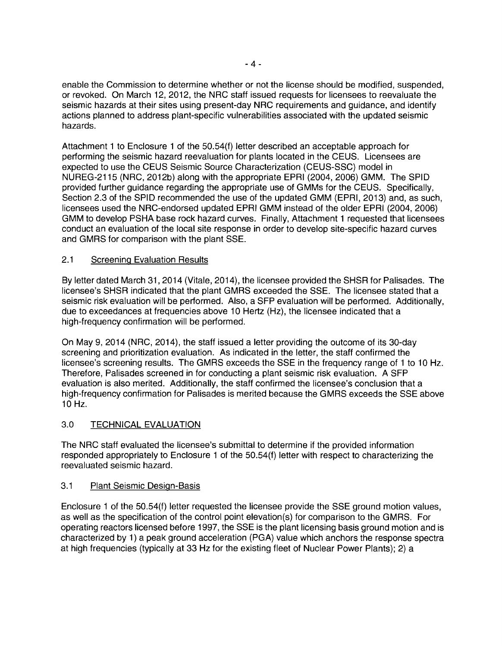enable the Commission to determine whether or not the license should be modified, suspended, or revoked. On March 12, 2012, the NRC staff issued requests for licensees to reevaluate the seismic hazards at their sites using present-day NRC requirements and guidance, and identify actions planned to address plant-specific vulnerabilities associated with the updated seismic hazards.

Attachment 1 to Enclosure 1 of the 50.54(f) letter described an acceptable approach for performing the seismic hazard reevaluation for plants located in the CEUS. Licensees are expected to use the CEUS Seismic Source Characterization (CEUS-SSC) model in NUREG-2115 (NRC, 2012b) along with the appropriate EPRI (2004, 2006) GMM. The SPID provided further guidance regarding the appropriate use of GMMs for the CEUS. Specifically, Section 2.3 of the SPID recommended the use of the updated GMM (EPRI, 2013) and, as such, licensees used the NRG-endorsed updated EPRI GMM instead of the older EPRI (2004, 2006) GMM to develop PSHA base rock hazard curves. Finally, Attachment 1 requested that licensees conduct an evaluation of the local site response in order to develop site-specific hazard curves and GMRS for comparison with the plant SSE.

## 2.1 Screening Evaluation Results

By letter dated March 31, 2014 (Vitale, 2014), the licensee provided the SHSR for Palisades. The licensee's SHSR indicated that the plant GMRS exceeded the SSE. The licensee stated that a seismic risk evaluation will be performed. Also, a SFP evaluation will be performed. Additionally, due to exceedances at frequencies above 10 Hertz (Hz), the licensee indicated that a high-frequency confirmation will be performed.

On May 9, 2014 (NRC, 2014), the staff issued a letter providing the outcome of its 30-day screening and prioritization evaluation. As indicated in the letter, the staff confirmed the licensee's screening results. The GMRS exceeds the SSE in the frequency range of 1 to 10 Hz. Therefore, Palisades screened in for conducting a plant seismic risk evaluation. A SFP evaluation is also merited. Additionally, the staff confirmed the licensee's conclusion that a high-frequency confirmation for Palisades is merited because the GMRS exceeds the SSE above 10 Hz.

## 3.0 TECHNICAL EVALUATION

The NRC staff evaluated the licensee's submittal to determine if the provided information responded appropriately to Enclosure 1 of the 50.54(f) letter with respect to characterizing the reevaluated seismic hazard.

## 3.1 Plant Seismic Design-Basis

Enclosure 1 of the 50.54(f) letter requested the licensee provide the SSE ground motion values, as well as the specification of the control point elevation(s) for comparison to the GMRS. For operating reactors licensed before 1997, the SSE is the plant licensing basis ground motion and is characterized by 1) a peak ground acceleration (PGA) value which anchors the response spectra at high frequencies (typically at 33 Hz for the existing fleet of Nuclear Power Plants); 2) a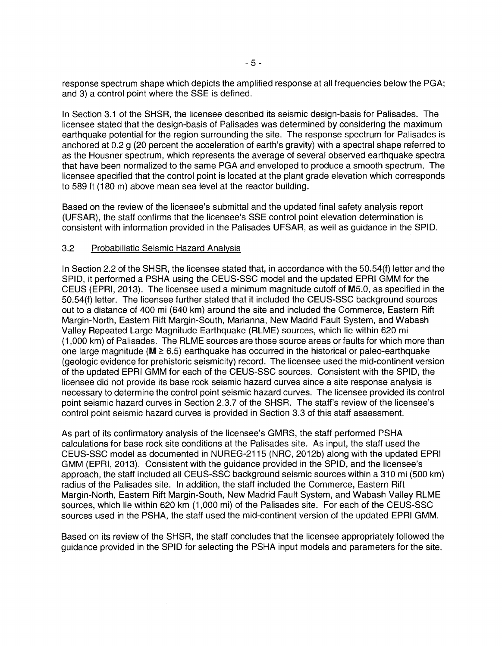response spectrum shape which depicts the amplified response at all frequencies below the PGA; and 3) a control point where the SSE is defined.

In Section 3.1 of the SHSR, the licensee described its seismic design-basis for Palisades. The licensee stated that the design-basis of Palisades was determined by considering the maximum earthquake potential for the region surrounding the site. The response spectrum for Palisades is anchored at 0.2 g (20 percent the acceleration of earth's gravity) with a spectral shape referred to as the Housner spectrum, which represents the average of several observed earthquake spectra that have been normalized to the same PGA and enveloped to produce a smooth spectrum. The licensee specified that the control point is located at the plant grade elevation which corresponds to 589 ft (180 m) above mean sea level at the reactor building.

Based on the review of the licensee's submittal and the updated final safety analysis report (UFSAR), the staff confirms that the licensee's SSE control point elevation determination is consistent with information provided in the Palisades UFSAR, as well as guidance in the SPID.

### 3.2 Probabilistic Seismic Hazard Analysis

In Section 2.2 of the SHSR, the licensee stated that, in accordance with the 50.54(f) letter and the SPID, it performed a PSHA using the CEUS-SSC model and the updated EPRI GMM for the CEUS (EPRI, 2013). The licensee used a minimum magnitude cutoff of M5.0, as specified in the 50.54(f) letter. The licensee further stated that it included the CEUS-SSC background sources out to a distance of 400 mi (640 km) around the site and included the Commerce, Eastern Rift Margin-North, Eastern Rift Margin-South, Marianna, New Madrid Fault System, and Wabash Valley Repeated Large Magnitude Earthquake (RLME) sources, which lie within 620 mi (1,000 km) of Palisades. The RLME sources are those source areas or faults for which more than one large magnitude ( $M \ge 6.5$ ) earthquake has occurred in the historical or paleo-earthquake (geologic evidence for prehistoric seismicity) record. The licensee used the mid-continent version of the updated EPRI GMM for each of the CEUS-SSC sources. Consistent with the SPID, the licensee did not provide its base rock seismic hazard curves since a site response analysis is necessary to determine the control point seismic hazard curves. The licensee provided its control point seismic hazard curves in Section 2.3.7 of the SHSR. The staff's review of the licensee's control point seismic hazard curves is provided in Section 3.3 of this staff assessment.

As part of its confirmatory analysis of the licensee's GMRS, the staff performed PSHA calculations for base rock site conditions at the Palisades site. As input, the staff used the CEUS-SSC model as documented in NUREG-2115 (NRC, 2012b) along with the updated EPRI GMM (EPRI, 2013). Consistent with the guidance provided in the SPID, and the licensee's approach, the staff included all CEUS-SSC background seismic sources within a 310 mi (500 km) radius of the Palisades site. In addition, the staff included the Commerce, Eastern Rift Margin-North, Eastern Rift Margin-South, New Madrid Fault System, and Wabash Valley RLME sources, which lie within 620 km (1,000 mi) of the Palisades site. For each of the CEUS-SSC sources used in the PSHA, the staff used the mid-continent version of the updated EPRI GMM.

Based on its review of the SHSR, the staff concludes that the licensee appropriately followed the guidance provided in the SPID for selecting the PSHA input models and parameters for the site.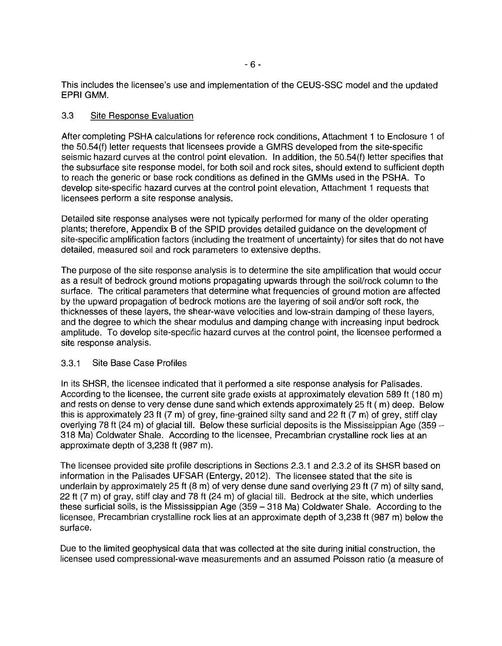This includes the licensee's use and implementation of the CEUS-SSC model and the updated EPRI GMM.

### 3.3 Site Response Evaluation

After completing PSHA calculations for reference rock conditions, Attachment 1 to Enclosure 1 of the 50.54(f) letter requests that licensees provide a GMRS developed from the site-specific seismic hazard curves at the control point elevation. In addition, the 50.54(f) letter specifies that the subsurface site response model, for both soil and rock sites, should extend to sufficient depth to reach the generic or base rock conditions as defined in the GMMs used in the PSHA. To develop site-specific hazard curves at the control point elevation, Attachment 1 requests that licensees perform a site response analysis.

Detailed site response analyses were not typically performed for many of the older operating plants; therefore, Appendix B of the SPID provides detailed guidance on the development of site-specific amplification factors (including the treatment of uncertainty) for sites that do not have detailed, measured soil and rock parameters to extensive depths.

The purpose of the site response analysis is to determine the site amplification that would occur as a result of bedrock ground motions propagating upwards through the soil/rock column to the surface. The critical parameters that determine what frequencies of ground motion are affected by the upward propagation of bedrock motions are the layering of soil and/or soft rock, the thicknesses of these layers, the shear-wave velocities and low-strain damping of these layers, and the degree to which the shear modulus and damping change with increasing input bedrock amplitude. To develop site-specific hazard curves at the control point, the licensee performed a site response analysis.

### 3.3.1 Site Base Case Profiles

In its SHSR, the licensee indicated that it performed a site response analysis for Palisades. According to the licensee, the current site grade exists at approximately elevation 589 ft (180 m) and rests on dense to very dense dune sand which extends approximately 25 ft ( m) deep. Below this is approximately 23 ft (7 m) of grey, fine-grained silty sand and 22 ft (7 m) of grey, stiff clay overlying 78 ft (24 m) of glacial till. Below these surficial deposits is the Mississippian Age (359 -318 Ma) Coldwater Shale. According to the licensee, Precambrian crystalline rock lies at an approximate depth of 3,238 ft (987 m).

The licensee provided site profile descriptions in Sections 2.3.1 and 2.3.2 of its SHSR based on information in the Palisades UFSAR (Entergy, 2012). The licensee stated that the site is underlain by approximately 25 ft (8 m) of very dense dune sand overlying 23 ft (7 m) of silty sand, 22 ft (7 m) of gray, stiff clay and 78 ft (24 m) of glacial till. Bedrock at the site, which underlies these surficial soils, is the Mississippian Age (359 - 318 Ma) Coldwater Shale. According to the licensee, Precambrian crystalline rock lies at an approximate depth of 3,238 ft (987 m) below the surface.

Due to the limited geophysical data that was collected at the site during initial construction, the licensee used compressional-wave measurements and an assumed Poisson ratio (a measure of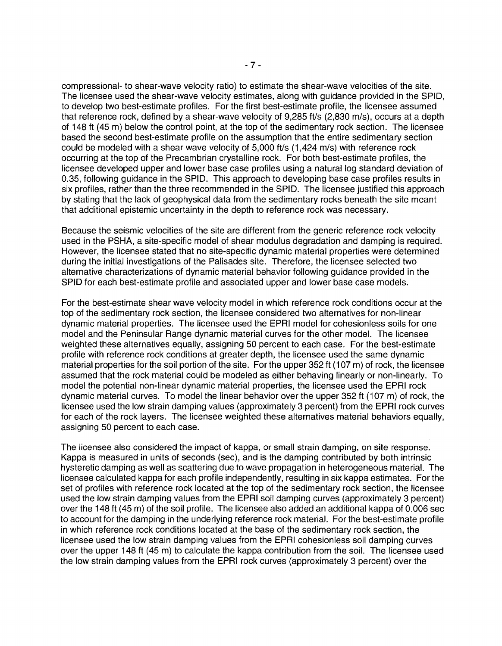compressional- to shear-wave velocity ratio) to estimate the shear-wave velocities of the site. The licensee used the shear-wave velocity estimates, along with guidance provided in the SPID, to develop two best-estimate profiles. For the first best-estimate profile, the licensee assumed that reference rock, defined by a shear-wave velocity of 9,285 ft/s (2,830 m/s), occurs at a depth of 148 ft (45 m) below the control point, at the top of the sedimentary rock section. The licensee based the second best-estimate profile on the assumption that the entire sedimentary section could be modeled with a shear wave velocity of 5,000 ft/s (1,424 m/s) with reference rock occurring at the top of the Precambrian crystalline rock. For both best-estimate profiles, the licensee developed upper and lower base case profiles using a natural log standard deviation of 0.35, following guidance in the SPID. This approach to developing base case profiles results in six profiles, rather than the three recommended in the SPID. The licensee justified this approach by stating that the lack of geophysical data from the sedimentary rocks beneath the site meant that additional epistemic uncertainty in the depth to reference rock was necessary.

Because the seismic velocities of the site are different from the generic reference rock velocity used in the PSHA, a site-specific model of shear modulus degradation and damping is required. However, the licensee stated that no site-specific dynamic material properties were determined during the initial investigations of the Palisades site. Therefore, the licensee selected two alternative characterizations of dynamic material behavior following guidance provided in the SPID for each best-estimate profile and associated upper and lower base case models.

For the best-estimate shear wave velocity model in which reference rock conditions occur at the top of the sedimentary rock section, the licensee considered two alternatives for non-linear dynamic material properties. The licensee used the EPRI model for cohesionless soils for one model and the Peninsular Range dynamic material curves for the other model. The licensee weighted these alternatives equally, assigning 50 percent to each case. For the best-estimate profile with reference rock conditions at greater depth, the licensee used the same dynamic material properties for the soil portion of the site. For the upper 352 ft (107 m) of rock, the licensee assumed that the rock material could be modeled as either behaving linearly or non-linearly. To model the potential non-linear dynamic material properties, the licensee used the EPRI rock dynamic material curves. To model the linear behavior over the upper 352 ft (107 m) of rock, the licensee used the low strain damping values (approximately 3 percent) from the EPRI rock curves for each of the rock layers. The licensee weighted these alternatives material behaviors equally, assigning 50 percent to each case.

The licensee also considered the impact of kappa, or small strain damping, on site response. Kappa is measured in units of seconds (sec), and is the damping contributed by both intrinsic hysteretic damping as well as scattering due to wave propagation in heterogeneous material. The licensee calculated kappa for each profile independently, resulting in six kappa estimates. For the set of profiles with reference rock located at the top of the sedimentary rock section, the licensee used the low strain damping values from the EPRI soil damping curves (approximately 3 percent) over the 148 ft (45 m) of the soil profile. The licensee also added an additional kappa of 0.006 sec to account for the damping in the underlying reference rock material. For the best-estimate profile in which reference rock conditions located at the base of the sedimentary rock section, the licensee used the low strain damping values from the EPRI cohesionless soil damping curves over the upper 148 ft (45 m) to calculate the kappa contribution from the soil. The licensee used the low strain damping values from the EPRI rock curves (approximately 3 percent) over the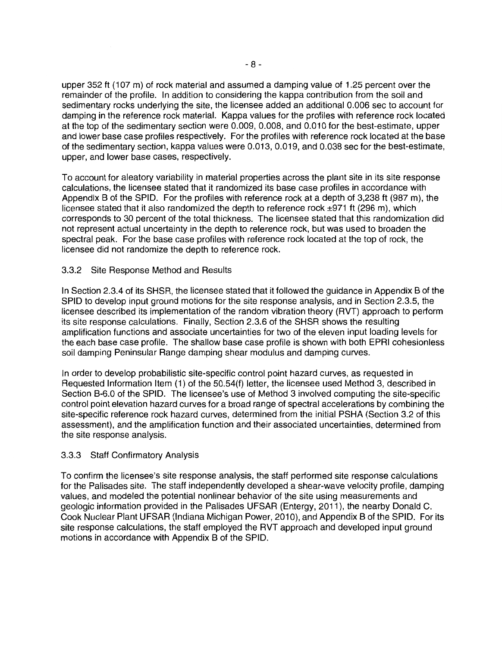upper 352 ft (107 m) of rock material and assumed a damping value of 1.25 percent over the remainder of the profile. In addition to considering the kappa contribution from the soil and sedimentary rocks underlying the site, the licensee added an additional 0.006 sec to account for damping in the reference rock material. Kappa values for the profiles with reference rock located at the top of the sedimentary section were 0.009, 0.008, and 0.010 for the best-estimate, upper and lower base case profiles respectively. For the profiles with reference rock located at the base of the sedimentary section, kappa values were 0.013, 0.019, and 0.038 sec for the best-estimate, upper, and lower base cases, respectively.

To account for aleatory variability in material properties across the plant site in its site response calculations, the licensee stated that it randomized its base case profiles in accordance with Appendix B of the SPID. For the profiles with reference rock at a depth of 3,238 ft (987 m), the licensee stated that it also randomized the depth to reference rock ±971 ft (296 m), which corresponds to 30 percent of the total thickness. The licensee stated that this randomization did not represent actual uncertainty in the depth to reference rock, but was used to broaden the spectral peak. For the base case profiles with reference rock located at the top of rock, the licensee did not randomize the depth to reference rock.

### 3.3.2 Site Response Method and Results

In Section 2.3.4 of its SHSR, the licensee stated that it followed the guidance in Appendix B of the SPID to develop input ground motions for the site response analysis, and in Section 2.3.5, the licensee described its implementation of the random vibration theory (RVT) approach to perform its site response calculations. Finally, Section 2.3.6 of the SHSR shows the resulting amplification functions and associate uncertainties for two of the eleven input loading levels for the each base case profile. The shallow base case profile is shown with both EPRI cohesionless soil damping Peninsular Range damping shear modulus and damping curves.

In order to develop probabilistic site-specific control point hazard curves, as requested in Requested Information Item (1) of the 50.54(f) letter, the licensee used Method 3, described in Section B-6.0 of the SPID. The licensee's use of Method 3 involved computing the site-specific control point elevation hazard curves for a broad range of spectral accelerations by combining the site-specific reference rock hazard curves, determined from the initial PSHA (Section 3.2 of this assessment), and the amplification function and their associated uncertainties, determined from the site response analysis.

### 3.3.3 Staff Confirmatory Analysis

To confirm the licensee's site response analysis, the staff performed site response calculations for the Palisades site. The staff independently developed a shear-wave velocity profile, damping values, and modeled the potential nonlinear behavior of the site using measurements and geologic information provided in the Palisades UFSAR (Entergy, 2011 ), the nearby Donald C. Cook Nuclear Plant UFSAR (Indiana Michigan Power, 2010), and Appendix B of the SPID. For its site response calculations, the staff employed the RVT approach and developed input ground motions in accordance with Appendix B of the SPID.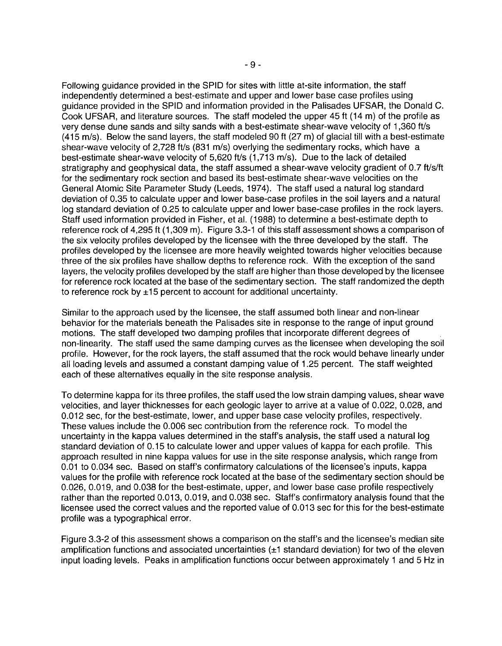Following guidance provided in the SPID for sites with little at-site information, the staff independently determined a best-estimate and upper and lower base case profiles using guidance provided in the SPID and information provided in the Palisades UFSAR, the Donald C. Cook UFSAR, and literature sources. The staff modeled the upper 45 ft (14 m) of the profile as very dense dune sands and silty sands with a best-estimate shear-wave velocity of 1,360 ft/s  $(415 \text{ m/s})$ . Below the sand layers, the staff modeled 90 ft  $(27 \text{ m})$  of glacial till with a best-estimate shear-wave velocity of  $2,728$  ft/s  $(831 \text{ m/s})$  overlying the sedimentary rocks, which have a best-estimate shear-wave velocity of 5,620 ft/s (1,713 m/s). Due to the lack of detailed stratigraphy and geophysical data, the staff assumed a shear-wave velocity gradient of 0.7 ft/s/ft for the sedimentary rock section and based its best-estimate shear-wave velocities on the General Atomic Site Parameter Study (Leeds, 1974). The staff used a natural log standard deviation of 0.35 to calculate upper and lower base-case profiles in the soil layers and a natural log standard deviation of 0.25 to calculate upper and lower base-case profiles in the rock layers. Staff used information provided in Fisher, et al. (1988) to determine a best-estimate depth to reference rock of 4,295 ft (1,309 m). Figure 3.3-1 of this staff assessment shows a comparison of the six velocity profiles developed by the licensee with the three developed by the staff. The profiles developed by the licensee are more heavily weighted towards higher velocities because three of the six profiles have shallow depths to reference rock. With the exception of the sand layers, the velocity profiles developed by the staff are higher than those developed by the licensee for reference rock located at the base of the sedimentary section. The staff randomized the depth to reference rock by ±15 percent to account for additional uncertainty.

Similar to the approach used by the licensee, the staff assumed both linear and non-linear behavior for the materials beneath the Palisades site in response to the range of input ground motions. The staff developed two damping profiles that incorporate different degrees of non-linearity. The staff used the same damping curves as the licensee when developing the soil profile. However, for the rock layers, the staff assumed that the rock would behave linearly under all loading levels and assumed a constant damping value of 1.25 percent. The staff weighted each of these alternatives equally in the site response analysis.

To determine kappa for its three profiles, the staff used the low strain damping values, shear wave velocities, and layer thicknesses for each geologic layer to arrive at a value of 0.022, 0.028, and 0.012 sec, for the best-estimate, lower, and upper base case velocity profiles, respectively. These values include the 0.006 sec contribution from the reference rock. To model the uncertainty in the kappa values determined in the staff's analysis, the staff used a natural log standard deviation of 0.15 to calculate lower and upper values of kappa for each profile. This approach resulted in nine kappa values for use in the site response analysis, which range from 0.01 to 0.034 sec. Based on staff's confirmatory calculations of the licensee's inputs, kappa values for the profile with reference rock located at the base of the sedimentary section should be 0.026, 0.019, and 0.038 for the best-estimate, upper, and lower base case profile respectively rather than the reported 0.013, 0.019, and 0.038 sec. Staff's confirmatory analysis found that the licensee used the correct values and the reported value of 0.013 sec for this for the best-estimate profile was a typographical error.

Figure 3.3-2 of this assessment shows a comparison on the staff's and the licensee's median site amplification functions and associated uncertainties  $(\pm 1)$  standard deviation) for two of the eleven input loading levels. Peaks in amplification functions occur between approximately 1 and 5 Hz in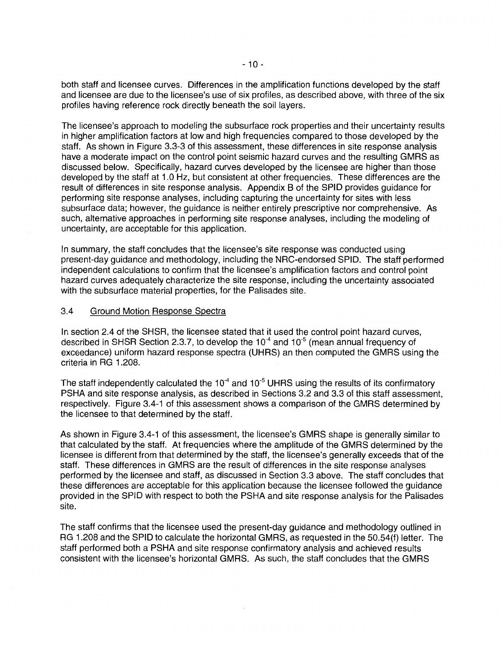both staff and licensee curves. Differences in the amplification functions developed by the staff and licensee are due to the licensee's use of six profiles, as described above, with three of the six profiles having reference rock directly beneath the soil layers.

The licensee's approach to modeling the subsurface rock properties and their uncertainty results in higher amplification factors at low and high frequencies compared to those developed by the staff. As shown in Figure 3.3-3 of this assessment, these differences in site response analysis have a moderate impact on the control point seismic hazard curves and the resulting GMRS as discussed below. Specifically, hazard curves developed by the licensee are higher than those developed by the staff at 1.0 Hz, but consistent at other frequencies. These differences are the result of differences in site response analysis. Appendix B of the SPID provides guidance for performing site response analyses, including capturing the uncertainty for sites with less subsurface data; however, the guidance is neither entirely prescriptive nor comprehensive. As such, alternative approaches in performing site response analyses, including the modeling of uncertainty, are acceptable for this application.

In summary, the staff concludes that the licensee's site response was conducted using present-day guidance and methodology, including the NRG-endorsed SPID. The staff performed independent calculations to confirm that the licensee's amplification factors and control point hazard curves adequately characterize the site response, including the uncertainty associated with the subsurface material properties, for the Palisades site.

#### 3.4 Ground Motion Response Spectra

In section 2.4 of the SHSR, the licensee stated that it used the control point hazard curves, described in SHSR Section 2.3.7, to develop the  $10^{-4}$  and  $10^{-5}$  (mean annual frequency of exceedance) uniform hazard response spectra (UHRS) an then computed the GMRS using the criteria in RG 1 .208.

The staff independently calculated the  $10^{-4}$  and  $10^{-5}$  UHRS using the results of its confirmatory PSHA and site response analysis, as described in Sections 3.2 and 3.3 of this staff assessment, respectively. Figure 3.4-1 of this assessment shows a comparison of the GMRS determined by the licensee to that determined by the staff.

As shown in Figure 3.4-1 of this assessment, the licensee's GMRS shape is generally similar to that calculated by the staff. At frequencies where the amplitude of the GMRS determined by the licensee is different from that determined by the staff, the licensee's generally exceeds that of the staff. These differences in GMRS are the result of differences in the site response analyses performed by the licensee and staff, as discussed in Section 3.3 above. The staff concludes that these differences are acceptable for this application because the licensee followed the guidance provided in the SPID with respect to both the PSHA and site response analysis for the Palisades site.

The staff confirms that the licensee used the present-day guidance and methodology outlined in RG 1.208 and the SPID to calculate the horizontal GMRS, as requested in the 50.54(f) letter. The staff performed both a PSHA and site response confirmatory analysis and achieved results consistent with the licensee's horizontal GMRS. As such, the staff concludes that the GMRS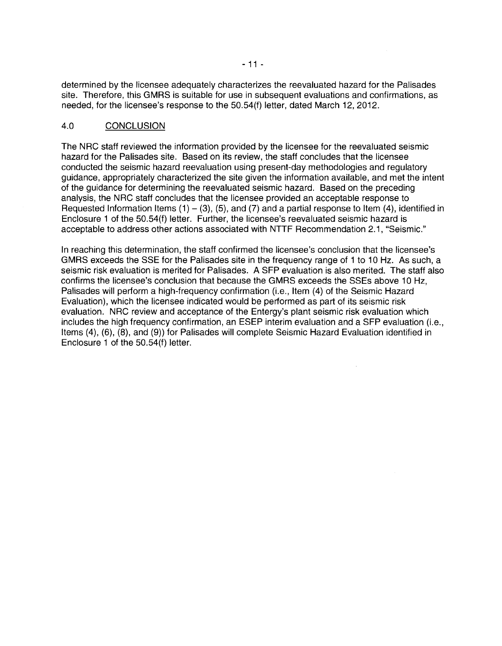determined by the licensee adequately characterizes the reevaluated hazard for the Palisades site. Therefore, this GMRS is suitable for use in subsequent evaluations and confirmations, as needed, for the licensee's response to the 50.54(f) letter, dated March 12, 2012.

### 4.0 CONCLUSION

The NRC staff reviewed the information provided by the licensee for the reevaluated seismic hazard for the Palisades site. Based on its review, the staff concludes that the licensee conducted the seismic hazard reevaluation using present-day methodologies and regulatory guidance, appropriately characterized the site given the information available, and met the intent of the guidance for determining the reevaluated seismic hazard. Based on the preceding analysis, the NRC staff concludes that the licensee provided an acceptable response to Requested Information Items  $(1) - (3)$ ,  $(5)$ , and  $(7)$  and a partial response to Item  $(4)$ , identified in Enclosure 1 of the 50.54(f) letter. Further, the licensee's reevaluated seismic hazard is acceptable to address other actions associated with NTTF Recommendation 2.1, "Seismic."

In reaching this determination, the staff confirmed the licensee's conclusion that the licensee's GMRS exceeds the SSE for the Palisades site in the frequency range of 1 to 10 Hz. As such, a seismic risk evaluation is merited for Palisades. A SFP evaluation is also merited. The staff also confirms the licensee's conclusion that because the GMRS exceeds the SSEs above 10 Hz, Palisades will perform a high-frequency confirmation (i.e., Item (4) of the Seismic Hazard Evaluation), which the licensee indicated would be performed as part of its seismic risk evaluation. NRC review and acceptance of the Entergy's plant seismic risk evaluation which includes the high frequency confirmation, an ESEP interim evaluation and a SFP evaluation (i.e., Items (4), (6), (8), and (9)) for Palisades will complete Seismic Hazard Evaluation identified in Enclosure 1 of the 50.54(f) letter.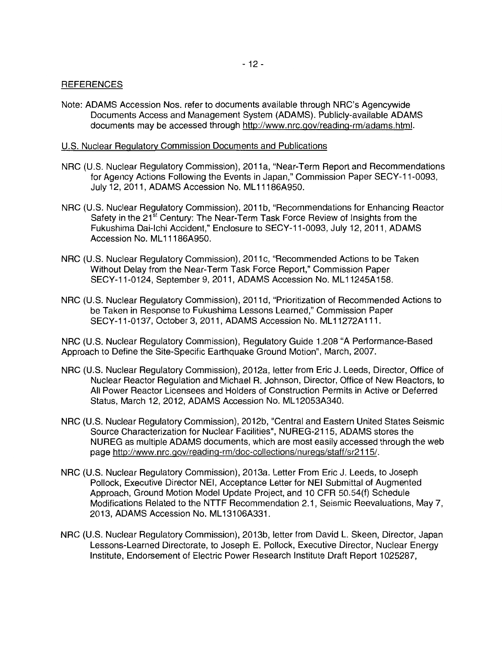#### REFERENCES

Note: ADAMS Accession Nos. refer to documents available through NRC's Agencywide Documents Access and Management System (ADAMS). Publicly-available ADAMS documents may be accessed through http://www.nrc.gov/readinq-rm/adams.html.

### U.S. Nuclear Regulatory Commission Documents and Publications

- NRC (U.S. Nuclear Regulatory Commission), 2011a, "Near-Term Report and Recommendations for Agency Actions Following the Events in Japan," Commission Paper SECY-11-0093, July 12, 2011, ADAMS Accession No. ML 11186A950.
- NRC (U.S. Nuclear Regulatory Commission), 2011 b, "Recommendations for Enhancing Reactor Safety in the  $21<sup>st</sup>$  Century: The Near-Term Task Force Review of Insights from the Fukushima Dai-lchi Accident," Enclosure to SECY-11-0093, July 12, 2011, ADAMS Accession No. ML 11186A950.
- NRC (U.S. Nuclear Regulatory Commission), 2011 c, "Recommended Actions to be Taken Without Delay from the Near-Term Task Force Report," Commission Paper SECY-11-0124, September 9, 2011, ADAMS Accession No. ML11245A158.
- NRC (U.S. Nuclear Regulatory Commission), 2011d, "Prioritization of Recommended Actions to be Taken in Response to Fukushima Lessons Learned," Commission Paper SECY-11-0137, October 3, 2011, ADAMS Accession No. ML 11272A 111.

NRC (U.S. Nuclear Regulatory Commission), Regulatory Guide 1.208 "A Performance-Based Approach to Define the Site-Specific Earthquake Ground Motion", March, 2007.

- NRC (U.S. Nuclear Regulatory Commission), 2012a, letter from Eric J. Leeds, Director, Office of Nuclear Reactor Regulation and Michael R. Johnson, Director, Office of New Reactors, to All Power Reactor Licensees and Holders of Construction Permits in Active or Deferred Status, March 12, 2012, ADAMS Accession No. ML12053A340.
- NRC (U.S. Nuclear Regulatory Commission), 2012b, "Central and Eastern United States Seismic Source Characterization for Nuclear Facilities", NUREG-2115, ADAMS stores the NUREG as multiple ADAMS documents, which are most easily accessed through the web page http://www.nrc.gov/reading-rm/doc-collections/nuregs/staff/sr2115/.
- NRC (U.S. Nuclear Regulatory Commission), 2013a. Letter From Eric J. Leeds, to Joseph Pollock, Executive Director NEI, Acceptance Letter for NEI Submittal of Augmented Approach, Ground Motion Model Update Project, and 10 CFR 50.54(f) Schedule Modifications Related to the NTTF Recommendation 2.1, Seismic Reevaluations, May 7, 2013, ADAMS Accession No. ML 13106A331.
- NRC (U.S. Nuclear Regulatory Commission), 2013b, letter from David L. Skeen, Director, Japan Lessons-Learned Directorate, to Joseph E. Pollock, Executive Director, Nuclear Energy Institute, Endorsement of Electric Power Research Institute Draft Report 1025287,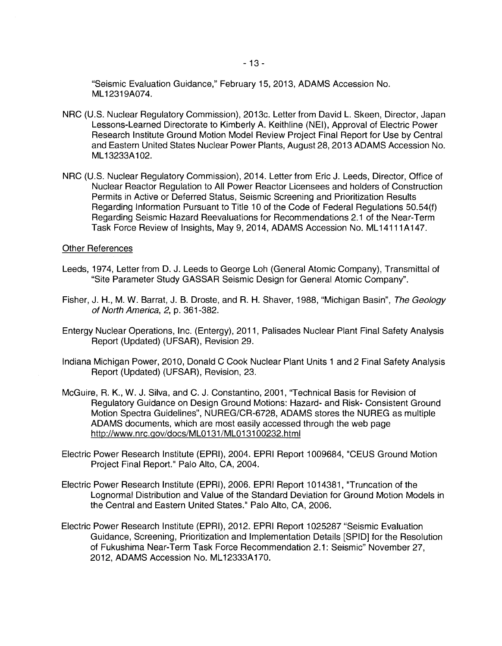"Seismic Evaluation Guidance," February 15, 2013, ADAMS Accession No. ML 12319A074.

- NRC (U.S. Nuclear Regulatory Commission), 2013c. Letter from David L. Skeen, Director, Japan Lessons-Learned Directorate to Kimberly A. Keithline (NEI), Approval of Electric Power Research Institute Ground Motion Model Review Project Final Report for Use by Central and Eastern United States Nuclear Power Plants, August 28, 2013 ADAMS Accession No. ML 13233A102.
- NRC (U.S. Nuclear Regulatory Commission), 2014. Letter from Eric J. Leeds, Director, Office of Nuclear Reactor Regulation to All Power Reactor Licensees and holders of Construction Permits in Active or Deferred Status, Seismic Screening and Prioritization Results Regarding Information Pursuant to Title 10 of the Code of Federal Regulations 50.54(f) Regarding Seismic Hazard Reevaluations for Recommendations 2.1 of the Near-Term Task Force Review of Insights, May 9, 2014, ADAMS Accession No. ML14111A147.

#### Other References

- Leeds, 1974, Letter from D. J. Leeds to George Loh (General Atomic Company), Transmittal of "Site Parameter Study GASSAR Seismic Design for General Atomic Company".
- Fisher, J. H., M. W. Barrat, J. B. Droste, and R. H. Shaver, 1988, "Michigan Basin", The Geology of North America, 2, p. 361-382.
- Entergy Nuclear Operations, Inc. (Entergy), 2011, Palisades Nuclear Plant Final Safety Analysis Report (Updated) (UFSAR), Revision 29.
- Indiana Michigan Power, 2010, Donald C Cook Nuclear Plant Units 1 and 2 Final Safety Analysis Report (Updated) (UFSAR), Revision, 23.
- McGuire, R. K., W. J. Silva, and C. J. Constantino, 2001, "Technical Basis for Revision of Regulatory Guidance on Design Ground Motions: Hazard- and Risk- Consistent Ground Motion Spectra Guidelines", NUREG/CR-6728, ADAMS stores the NUREG as multiple ADAMS documents, which are most easily accessed through the web page http://www.nrc.gov/docs/ML0131/ML013100232.html
- Electric Power Research Institute (EPRI), 2004. EPRI Report 1009684, "CEUS Ground Motion Project Final Report." Palo Alto, CA, 2004.
- Electric Power Research Institute (EPRI), 2006. EPRI Report 1014381, "Truncation of the Lognormal Distribution and Value of the Standard Deviation for Ground Motion Models in the Central and Eastern United States." Palo Alto, CA, 2006.
- Electric Power Research Institute (EPRI), 2012. EPRI Report 1025287 "Seismic Evaluation Guidance, Screening, Prioritization and Implementation Details [SPID] for the Resolution of Fukushima Near-Term Task Force Recommendation 2.1: Seismic" November 27, 2012, ADAMS Accession No. ML 12333A 170.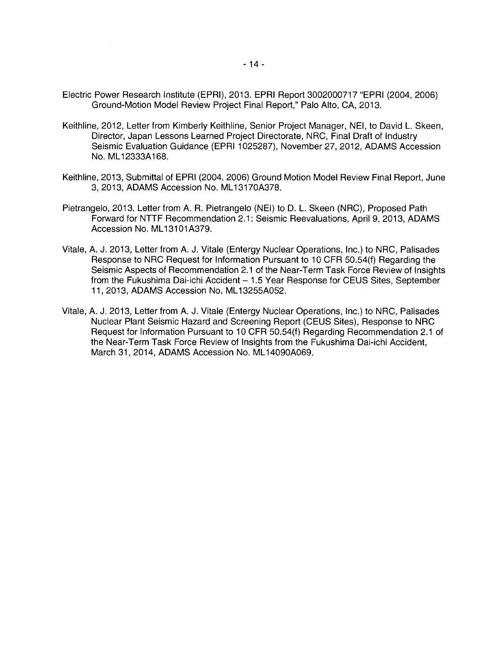- Electric Power Research Institute (EPRI), 2013. EPRI Report 3002000717 "EPRI (2004, 2006) Ground-Motion Model Review Project Final Report," Palo Alto, CA, 2013.
- Keithline, 2012, Letter from Kimberly Keithline, Senior Project Manager, NEI, to David L. Skeen, Director, Japan Lessons Learned Project Directorate, NRC, Final Draft of Industry Seismic Evaluation Guidance (EPRI 1025287), November 27, 2012, ADAMS Accession No. ML12333A168.
- Keithline, 2013, Submittal of EPRI (2004, 2006) Ground Motion Model Review Final Report, June 3, 2013, ADAMS Accession No. ML13170A378.
- Pietrangelo, 2013. Letter from A. R. Pietrangelo (NEI) to D. L. Skeen (NRC), Proposed Path Forward for NTTF Recommendation 2.1: Seismic Reevaluations, April 9, 2013, ADAMS Accession No. ML13101A379.
- Vitale, A. J. 2013, Letter from A. J. Vitale (Entergy Nuclear Operations, Inc.) to NRC, Palisades Response to NRC Request for Information Pursuant to 10 CFR 50.54(f) Regarding the Seismic Aspects of Recommendation 2.1 of the Near-Term Task Force Review of Insights from the Fukushima Dai-ichi Accident - 1.5 Year Response for CEUS Sites, September 11, 2013, ADAMS Accession No. ML 13255A052.
- Vitale, A. J. 2013, Letter from A. J. Vitale (Entergy Nuclear Operations, Inc.) to NRC, Palisades Nuclear Plant Seismic Hazard and Screening Report (CEUS Sites), Response to NRC Request for Information Pursuant to 10 CFR 50.54(f) Regarding Recommendation 2.1 of the Near-Term Task Force Review of Insights from the Fukushima Dai-ichi Accident, March 31, 2014, ADAMS Accession No. ML14090A069.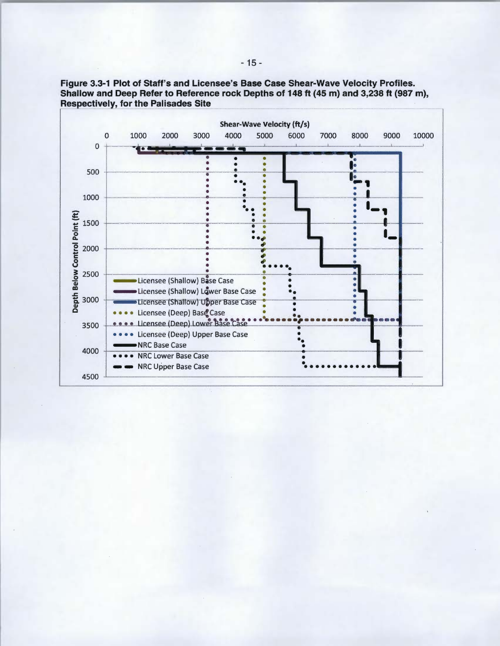

**Figure 3.3-1 Plot of Staff's and Licensee's Base Case Shear-Wave Velocity Profiles. Shallow and Deep Refer to Reference rock Depths of 148 ft (45 m) and 3,238 ft (987 m), Respective! , for the Palisades Site**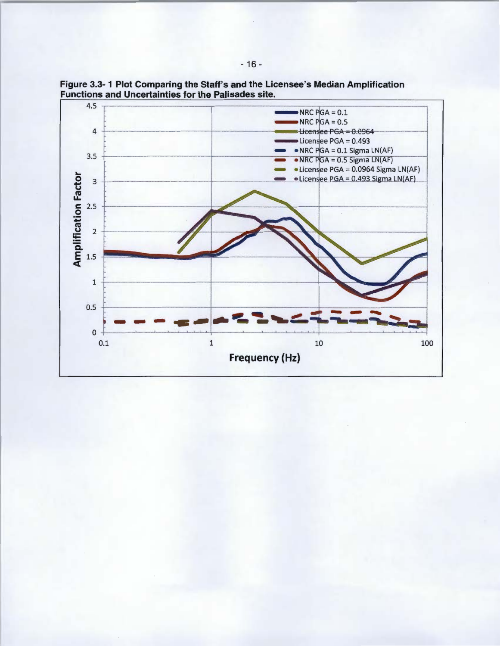

Figure 3.3- 1 Plot Comparing the Staff's and the Licensee's Median Amplification Functions and Uncertainties for the Palisades site.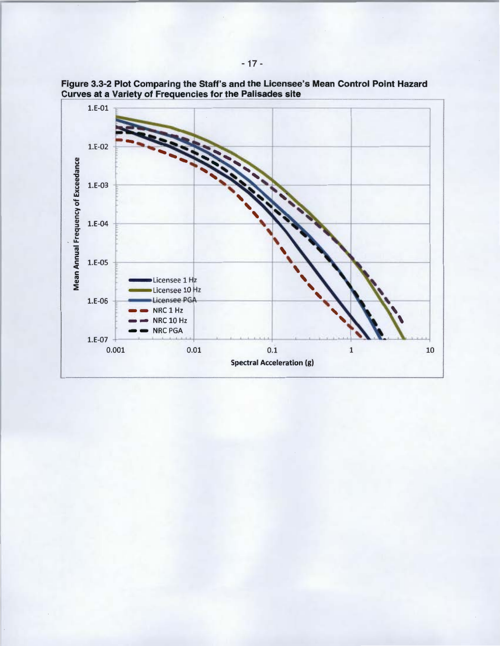

Figure 3.3-2 Plot Comparing the Staff's and the Licensee's Mean Control Point Hazard Curves at a Variety of Frequencies for the Palisades site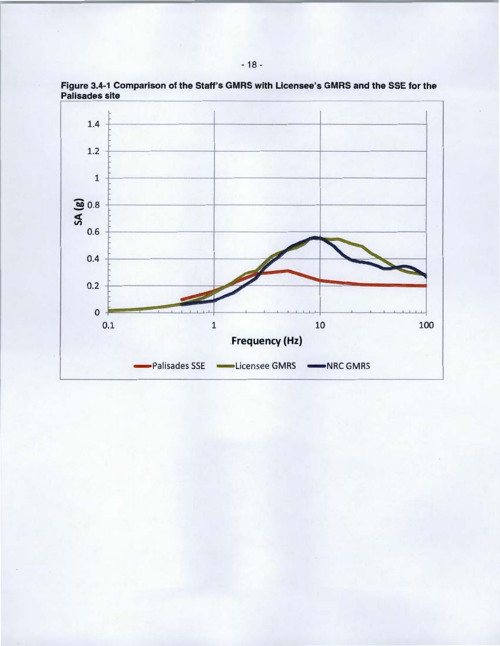

Figure 3.4-1 Comparison of the Staff's GMRS with Licensee's GMRS and the SSE for the Palisades site